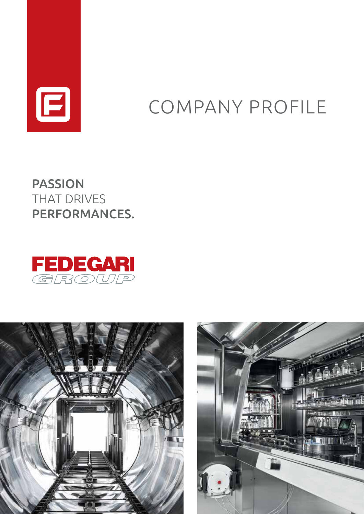

# COMPANY PROFILE

PASSION THAT DRIVES PERFORMANCES.





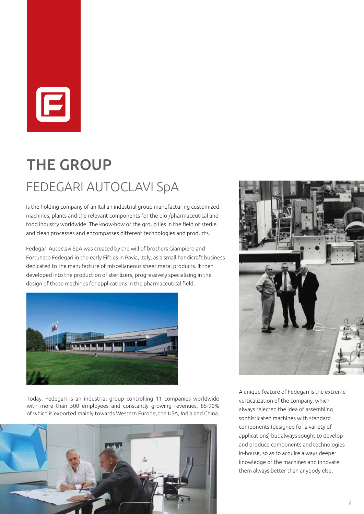

## FEDEGARI AUTOCLAVI SpA THE GROUP

Is the holding company of an Italian industrial group manufacturing customized machines, plants and the relevant components for the bio-/pharmaceutical and food industry worldwide. The know-how of the group lies in the field of sterile and clean processes and encompasses different technologies and products.

Fedegari Autoclavi SpA was created by the will of brothers Giampiero and Fortunato Fedegari in the early Fifties in Pavia, Italy, as a small handicraft business dedicated to the manufacture of miscellaneous sheet metal products. It then developed into the production of sterilizers, progressively specializing in the design of these machines for applications in the pharmaceutical field.



Today, Fedegari is an industrial group controlling 11 companies worldwide with more than 500 employees and constantly growing revenues, 85-90% of which is exported mainly towards Western Europe, the USA, India and China.





A unique feature of Fedegari is the extreme verticalization of the company, which always rejected the idea of assembling sophisticated machines with standard components (designed for a variety of applications) but always sought to develop and produce components and technologies in-house, so as to acquire always deeper knowledge of the machines and innovate them always better than anybody else.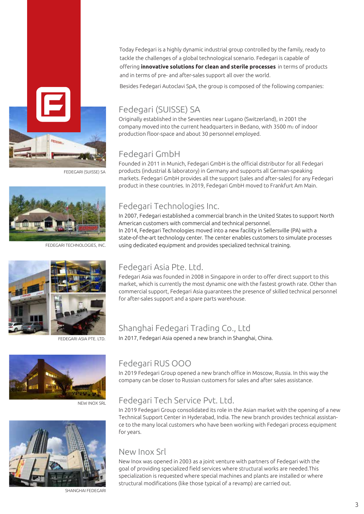Today Fedegari is a highly dynamic industrial group controlled by the family, ready to tackle the challenges of a global technological scenario. Fedegari is capable of offering **innovative solutions for clean and sterile processes** in terms of products and in terms of pre- and after-sales support all over the world.

Besides Fedegari Autoclavi SpA, the group is composed of the following companies:

### Fedegari (SUISSE) SA

Originally established in the Seventies near Lugano (Switzerland), in 2001 the company moved into the current headquarters in Bedano, with 3500 m<sub>2</sub> of indoor production floor-space and about 30 personnel employed.

## Fedegari GmbH

Founded in 2011 in Munich, Fedegari GmbH is the official distributor for all Fedegari products (industrial & laboratory) in Germany and supports all German-speaking markets. Fedegari GmbH provides all the support (sales and after-sales) for any Fedegari product in these countries. In 2019, Fedegari GmbH moved to Frankfurt Am Main.

## Fedegari Technologies Inc.

In 2007, Fedegari established a commercial branch in the United States to support North American customers with commercial and technical personnel. In 2014, Fedegari Technologies moved into a new facility in Sellersville (PA) with a state-of-the-art technology center. The center enables customers to simulate processes using dedicated equipment and provides specialized technical training.

### Fedegari Asia Pte. Ltd.

Fedegari Asia was founded in 2008 in Singapore in order to offer direct support to this market, which is currently the most dynamic one with the fastest growth rate. Other than commercial support, Fedegari Asia guarantees the presence of skilled technical personnel for after-sales support and a spare parts warehouse.

## Shanghai Fedegari Trading Co., Ltd

In 2017, Fedegari Asia opened a new branch in Shanghai, China.



NEW INOX SRL



SHANGHAI FEDEGAR

## Fedegari RUS OOO

In 2019 Fedegari Group opened a new branch office in Moscow, Russia. In this way the company can be closer to Russian customers for sales and after sales assistance.

## Fedegari Tech Service Pvt. Ltd.

In 2019 Fedegari Group consolidated its role in the Asian market with the opening of a new Technical Support Center in Hyderabad, India. The new branch provides technical assistance to the many local customers who have been working with Fedegari process equipment for years.

### New Inox Srl

New Inox was opened in 2003 as a joint venture with partners of Fedegari with the goal of providing specialized field services where structural works are needed.This specialization is requested where special machines and plants are installed or where structural modifications (like those typical of a revamp) are carried out.



FEDEGARI TECHNOLOGIES, INC.

FEDEGARI (SUISSE) SA



FEDEGARI ASIA PTE. LTD.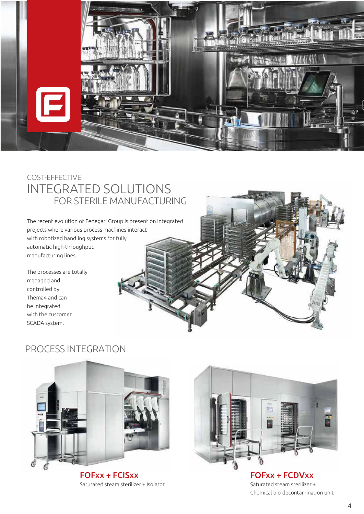

## COST-EFFECTIVE INTEGRATED SOLUTIONS FOR STERILE MANUFACTURING

The recent evolution of Fedegari Group is present on integrated projects where various process machines interact with robotized handling systems for fully automatic high-throughput manufacturing lines.

The processes are totally managed and controlled by Thema4 and can be integrated with the customer SCADA system.



## PROCESS INTEGRATION



FOFxx + FCISxx Saturated steam sterilizer + Isolator



FOFxx + FCDVxx Saturated steam sterilizer + Chemical bio-decontamination unit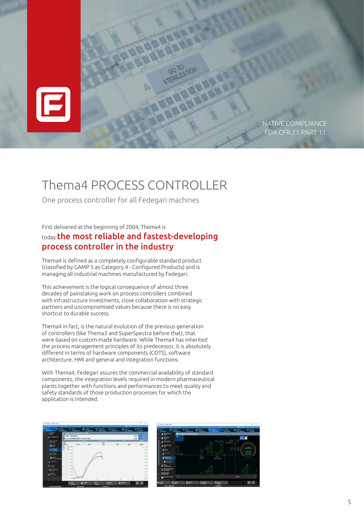

## Thema4 PROCESS CONTROLLER

One process controller for all Fedegari machines

First delivered at the beginning of 2004, Thema4 is

### today the most reliable and fastest-developing process controller in the industry.

Thema4 is defined as a completely configurable standard product (classified by GAMP 5 as Category 4 - Configured Products) and is managing all industrial machines manufactured by Fedegari.

This achievement is the logical consequence of almost three decades of painstaking work on process controllers combined with infrastructure investments, close collaboration with strategic partners and uncompromised values because there is no easy shortcut to durable success.

Thema4 in fact, is the natural evolution of the previous generation of controllers (like Thema3 and SuperSpectra before that), that were based on custom-made hardware. While Thema4 has inherited the process management principles of its predecessor, it is absolutely different in terms of hardware components (COTS), software architecture, HMI and general and integration functions.

With Thema4, Fedegari assures the commercial availability of standard components, the integration levels required in modern pharmaceutical plants together with functions and performances to meet quality and safety standards of those production processes for which the application is intended.

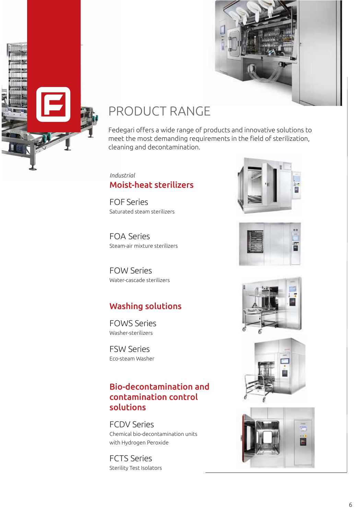



## PRODUCT RANGE

Fedegari offers a wide range of products and innovative solutions to meet the most demanding requirements in the field of sterilization, cleaning and decontamination.

### *Industrial* Moist-heat sterilizers

FOF Series Saturated steam sterilizers

FOA Series Steam-air mixture sterilizers

FOW Series Water-cascade sterilizers

## Washing solutions

FOWS Series Washer-sterilizers

FSW Series Eco-steam Washer

## Bio-decontamination and contamination control solutions

FCDV Series Chemical bio-decontamination units with Hydrogen Peroxide

FCTS Series Sterility Test Isolators









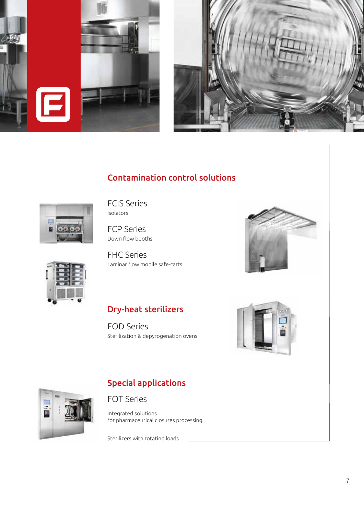



## Contamination control solutions



FCIS Series Isolators

FCP Series Down flow booths

FHC Series Laminar flow mobile safe-carts





### Dry-heat sterilizers

FOD Series Sterilization & depyrogenation ovens





#### FOT Series

Integrated solutions for pharmaceutical closures processing

Special applications

Sterilizers with rotating loads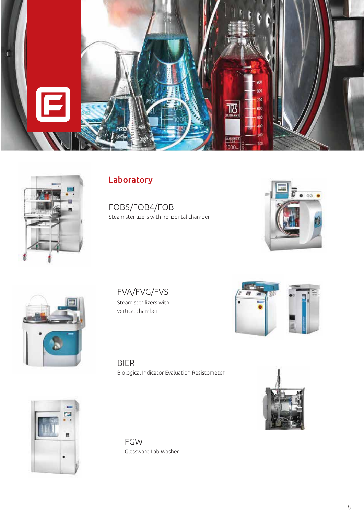



## Laboratory

FOB5/FOB4/FOB Steam sterilizers with horizontal chamber





FVA/FVG/FVS Steam sterilizers with vertical chamber



BIER Biological Indicator Evaluation Resistometer





FGW Glassware Lab Washer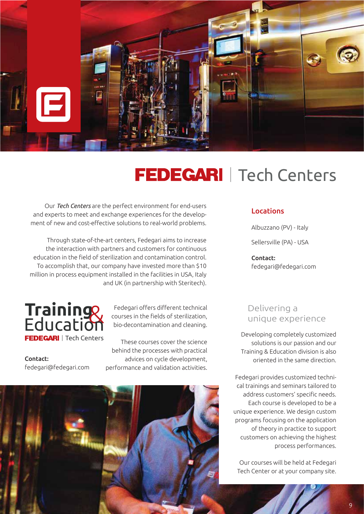

## FEDEGARI | Tech Centers

Our *Tech Centers* are the perfect environment for end-users and experts to meet and exchange experiences for the development of new and cost-effective solutions to real-world problems.

Through state-of-the-art centers, Fedegari aims to increase the interaction with partners and customers for continuous education in the field of sterilization and contamination control. To accomplish that, our company have invested more than \$10 million in process equipment installed in the facilities in USA, Italy and UK (in partnership with Steritech).



Fedegari offers different technical courses in the fields of sterilization, bio-decontamination and cleaning.

Contact: fedegari@fedegari.com

These courses cover the science behind the processes with practical advices on cycle development, performance and validation activities.



#### Locations

Albuzzano (PV) - Italy

Sellersville (PA) - USA

Contact: fedegari@fedegari.com

### Delivering a unique experience

Developing completely customized solutions is our passion and our Training & Education division is also oriented in the same direction.

Fedegari provides customized technical trainings and seminars tailored to address customers' specific needs. Each course is developed to be a unique experience. We design custom programs focusing on the application of theory in practice to support customers on achieving the highest process performances.

Our courses will be held at Fedegari Tech Center or at your company site.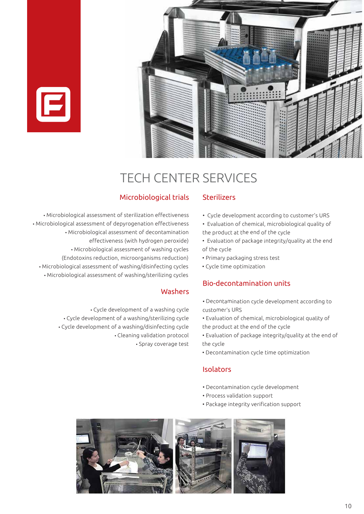



## TECH CENTER SERVICES

#### Microbiological trials

• Microbiological assessment of sterilization effectiveness • Microbiological assessment of depyrogenation effectiveness • Microbiological assessment of decontamination effectiveness (with hydrogen peroxide) • Microbiological assessment of washing cycles (Endotoxins reduction, microorganisms reduction) • Microbiological assessment of washing/disinfecting cycles • Microbiological assessment of washing/sterilizing cycles

#### Washers

• Cycle development of <sup>a</sup> washing cycle • Cycle development of <sup>a</sup> washing/sterilizing cycle • Cycle development of <sup>a</sup> washing/disinfecting cycle • Cleaning validation protocol • Spray coverage test

#### Sterilizers

- Cycle development according to customer's URS
- Evaluation of chemical, microbiological quality of the product at the end of the cycle
- Evaluation of package integrity/quality at the end of the cycle
- Primary packaging stress test
- Cycle time optimization

#### Bio-decontamination units

- Decontamination cycle development according to customer's URS
- Evaluation of chemical, microbiological quality of the product at the end of the cycle
- Evaluation of package integrity/quality at the end of the cycle
- Decontamination cycle time optimization

#### Isolators

- Decontamination cycle development
- Process validation support
- Package integrity verification support

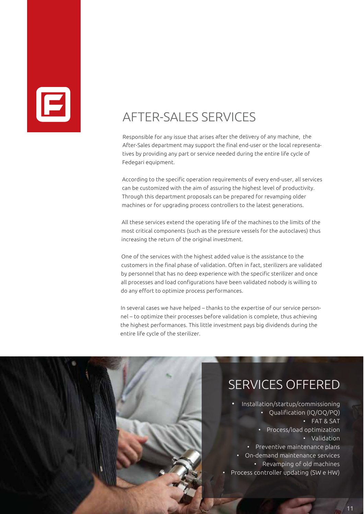

## AFTER-SALES SERVICES

Responsible for any issue that arises after the delivery of any machine, the After-Sales department may support the final end-user or the local representatives by providing any part or service needed during the entire life cycle of Fedegari equipment.

According to the specific operation requirements of every end-user, all services can be customized with the aim of assuring the highest level of productivity. Through this department proposals can be prepared for revamping older machines or for upgrading process controllers to the latest generations.

All these services extend the operating life of the machines to the limits of the most critical components (such as the pressure vessels for the autoclaves) thus increasing the return of the original investment.

One of the services with the highest added value is the assistance to the customers in the final phase of validation. Often in fact, sterilizers are validated by personnel that has no deep experience with the specific sterilizer and once all processes and load configurations have been validated nobody is willing to do any effort to optimize process performances.

In several cases we have helped – thanks to the expertise of our service personnel – to optimize their processes before validation is complete, thus achieving the highest performances. This little investment pays big dividends during the entire life cycle of the sterilizer.

•

•

## SERVICES OFFERED

 Installation/startup/commissioning • Qualification (IQ/OQ/PQ) • FAT & SAT • Process/load optimization • Validation • Preventive maintenance plans • On-demand maintenance services • Revamping of old machines Process controller updating (SW <sup>e</sup> HW)

11